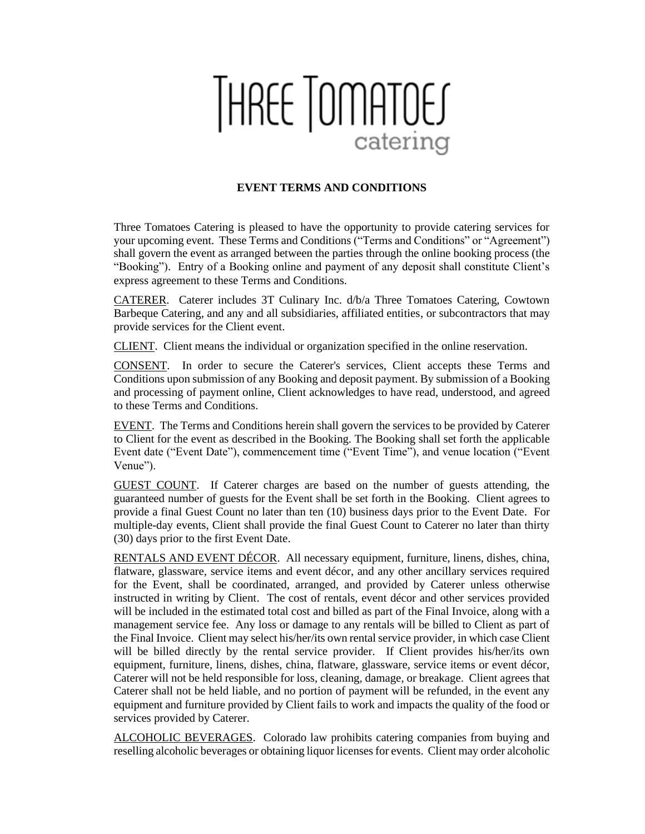## THREE TOMATOES catering

## **EVENT TERMS AND CONDITIONS**

Three Tomatoes Catering is pleased to have the opportunity to provide catering services for your upcoming event. These Terms and Conditions ("Terms and Conditions" or "Agreement") shall govern the event as arranged between the parties through the online booking process (the "Booking"). Entry of a Booking online and payment of any deposit shall constitute Client's express agreement to these Terms and Conditions.

CATERER. Caterer includes 3T Culinary Inc. d/b/a Three Tomatoes Catering, Cowtown Barbeque Catering, and any and all subsidiaries, affiliated entities, or subcontractors that may provide services for the Client event.

CLIENT. Client means the individual or organization specified in the online reservation.

CONSENT. In order to secure the Caterer's services, Client accepts these Terms and Conditions upon submission of any Booking and deposit payment. By submission of a Booking and processing of payment online, Client acknowledges to have read, understood, and agreed to these Terms and Conditions.

EVENT. The Terms and Conditions herein shall govern the services to be provided by Caterer to Client for the event as described in the Booking. The Booking shall set forth the applicable Event date ("Event Date"), commencement time ("Event Time"), and venue location ("Event Venue").

GUEST COUNT. If Caterer charges are based on the number of guests attending, the guaranteed number of guests for the Event shall be set forth in the Booking. Client agrees to provide a final Guest Count no later than ten (10) business days prior to the Event Date. For multiple-day events, Client shall provide the final Guest Count to Caterer no later than thirty (30) days prior to the first Event Date.

RENTALS AND EVENT DÉCOR. All necessary equipment, furniture, linens, dishes, china, flatware, glassware, service items and event décor, and any other ancillary services required for the Event, shall be coordinated, arranged, and provided by Caterer unless otherwise instructed in writing by Client. The cost of rentals, event décor and other services provided will be included in the estimated total cost and billed as part of the Final Invoice, along with a management service fee. Any loss or damage to any rentals will be billed to Client as part of the Final Invoice. Client may select his/her/its own rental service provider, in which case Client will be billed directly by the rental service provider. If Client provides his/her/its own equipment, furniture, linens, dishes, china, flatware, glassware, service items or event décor, Caterer will not be held responsible for loss, cleaning, damage, or breakage. Client agrees that Caterer shall not be held liable, and no portion of payment will be refunded, in the event any equipment and furniture provided by Client fails to work and impacts the quality of the food or services provided by Caterer.

ALCOHOLIC BEVERAGES. Colorado law prohibits catering companies from buying and reselling alcoholic beverages or obtaining liquor licenses for events. Client may order alcoholic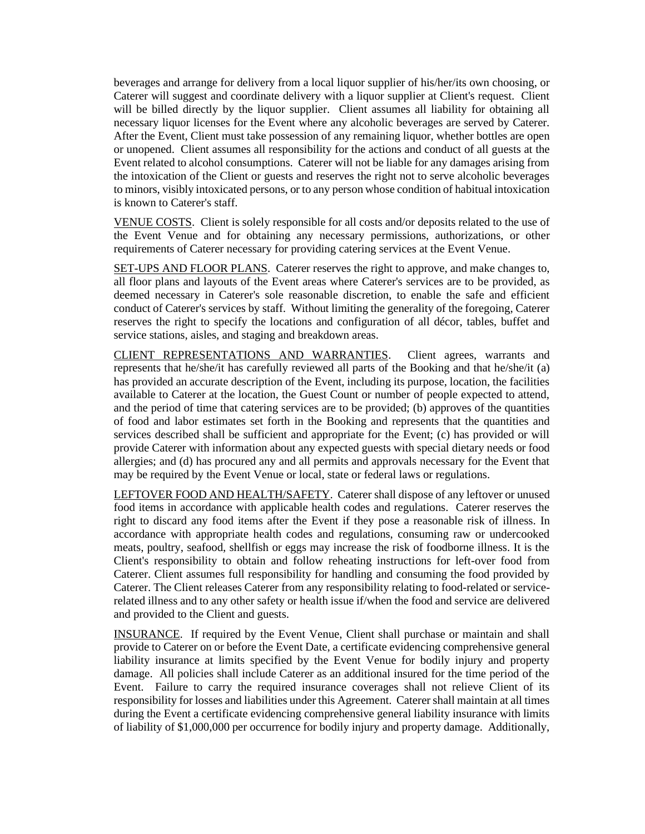beverages and arrange for delivery from a local liquor supplier of his/her/its own choosing, or Caterer will suggest and coordinate delivery with a liquor supplier at Client's request. Client will be billed directly by the liquor supplier. Client assumes all liability for obtaining all necessary liquor licenses for the Event where any alcoholic beverages are served by Caterer. After the Event, Client must take possession of any remaining liquor, whether bottles are open or unopened. Client assumes all responsibility for the actions and conduct of all guests at the Event related to alcohol consumptions. Caterer will not be liable for any damages arising from the intoxication of the Client or guests and reserves the right not to serve alcoholic beverages to minors, visibly intoxicated persons, or to any person whose condition of habitual intoxication is known to Caterer's staff.

VENUE COSTS. Client is solely responsible for all costs and/or deposits related to the use of the Event Venue and for obtaining any necessary permissions, authorizations, or other requirements of Caterer necessary for providing catering services at the Event Venue.

SET-UPS AND FLOOR PLANS. Caterer reserves the right to approve, and make changes to, all floor plans and layouts of the Event areas where Caterer's services are to be provided, as deemed necessary in Caterer's sole reasonable discretion, to enable the safe and efficient conduct of Caterer's services by staff. Without limiting the generality of the foregoing, Caterer reserves the right to specify the locations and configuration of all décor, tables, buffet and service stations, aisles, and staging and breakdown areas.

CLIENT REPRESENTATIONS AND WARRANTIES. Client agrees, warrants and represents that he/she/it has carefully reviewed all parts of the Booking and that he/she/it (a) has provided an accurate description of the Event, including its purpose, location, the facilities available to Caterer at the location, the Guest Count or number of people expected to attend, and the period of time that catering services are to be provided; (b) approves of the quantities of food and labor estimates set forth in the Booking and represents that the quantities and services described shall be sufficient and appropriate for the Event; (c) has provided or will provide Caterer with information about any expected guests with special dietary needs or food allergies; and (d) has procured any and all permits and approvals necessary for the Event that may be required by the Event Venue or local, state or federal laws or regulations.

LEFTOVER FOOD AND HEALTH/SAFETY. Caterer shall dispose of any leftover or unused food items in accordance with applicable health codes and regulations. Caterer reserves the right to discard any food items after the Event if they pose a reasonable risk of illness. In accordance with appropriate health codes and regulations, consuming raw or undercooked meats, poultry, seafood, shellfish or eggs may increase the risk of foodborne illness. It is the Client's responsibility to obtain and follow reheating instructions for left-over food from Caterer. Client assumes full responsibility for handling and consuming the food provided by Caterer. The Client releases Caterer from any responsibility relating to food-related or servicerelated illness and to any other safety or health issue if/when the food and service are delivered and provided to the Client and guests.

INSURANCE. If required by the Event Venue, Client shall purchase or maintain and shall provide to Caterer on or before the Event Date, a certificate evidencing comprehensive general liability insurance at limits specified by the Event Venue for bodily injury and property damage. All policies shall include Caterer as an additional insured for the time period of the Event. Failure to carry the required insurance coverages shall not relieve Client of its responsibility for losses and liabilities under this Agreement. Caterer shall maintain at all times during the Event a certificate evidencing comprehensive general liability insurance with limits of liability of \$1,000,000 per occurrence for bodily injury and property damage. Additionally,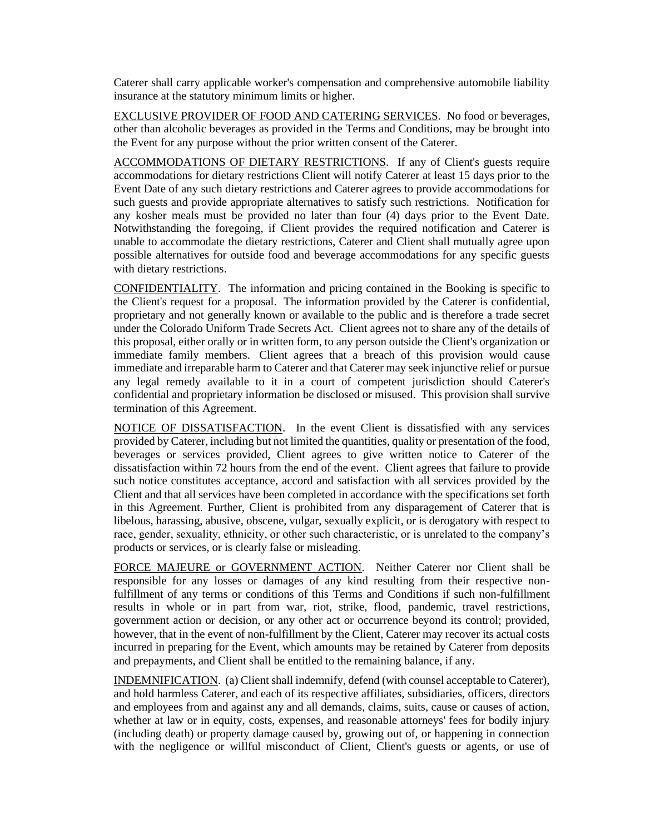Caterer shall carry applicable worker's compensation and comprehensive automobile liability insurance at the statutory minimum limits or higher.

EXCLUSIVE PROVIDER OF FOOD AND CATERING SERVICES. No food or beverages, other than alcoholic beverages as provided in the Terms and Conditions, may be brought into the Event for any purpose without the prior written consent of the Caterer.

ACCOMMODATIONS OF DIETARY RESTRICTIONS. If any of Client's guests require accommodations for dietary restrictions Client will notify Caterer at least 15 days prior to the Event Date of any such dietary restrictions and Caterer agrees to provide accommodations for such guests and provide appropriate alternatives to satisfy such restrictions. Notification for any kosher meals must be provided no later than four (4) days prior to the Event Date. Notwithstanding the foregoing, if Client provides the required notification and Caterer is unable to accommodate the dietary restrictions, Caterer and Client shall mutually agree upon possible alternatives for outside food and beverage accommodations for any specific guests with dietary restrictions.

CONFIDENTIALITY. The information and pricing contained in the Booking is specific to the Client's request for a proposal. The information provided by the Caterer is confidential, proprietary and not generally known or available to the public and is therefore a trade secret under the Colorado Uniform Trade Secrets Act. Client agrees not to share any of the details of this proposal, either orally or in written form, to any person outside the Client's organization or immediate family members. Client agrees that a breach of this provision would cause immediate and irreparable harm to Caterer and that Caterer may seek injunctive relief or pursue any legal remedy available to it in a court of competent jurisdiction should Caterer's confidential and proprietary information be disclosed or misused. This provision shall survive termination of this Agreement.

NOTICE OF DISSATISFACTION. In the event Client is dissatisfied with any services provided by Caterer, including but not limited the quantities, quality or presentation of the food, beverages or services provided, Client agrees to give written notice to Caterer of the dissatisfaction within 72 hours from the end of the event. Client agrees that failure to provide such notice constitutes acceptance, accord and satisfaction with all services provided by the Client and that all services have been completed in accordance with the specifications set forth in this Agreement. Further, Client is prohibited from any disparagement of Caterer that is libelous, harassing, abusive, obscene, vulgar, sexually explicit, or is derogatory with respect to race, gender, sexuality, ethnicity, or other such characteristic, or is unrelated to the company's products or services, or is clearly false or misleading.

FORCE MAJEURE or GOVERNMENT ACTION. Neither Caterer nor Client shall be responsible for any losses or damages of any kind resulting from their respective nonfulfillment of any terms or conditions of this Terms and Conditions if such non-fulfillment results in whole or in part from war, riot, strike, flood, pandemic, travel restrictions, government action or decision, or any other act or occurrence beyond its control; provided, however, that in the event of non-fulfillment by the Client, Caterer may recover its actual costs incurred in preparing for the Event, which amounts may be retained by Caterer from deposits and prepayments, and Client shall be entitled to the remaining balance, if any.

INDEMNIFICATION. (a) Client shall indemnify, defend (with counsel acceptable to Caterer), and hold harmless Caterer, and each of its respective affiliates, subsidiaries, officers, directors and employees from and against any and all demands, claims, suits, cause or causes of action, whether at law or in equity, costs, expenses, and reasonable attorneys' fees for bodily injury (including death) or property damage caused by, growing out of, or happening in connection with the negligence or willful misconduct of Client, Client's guests or agents, or use of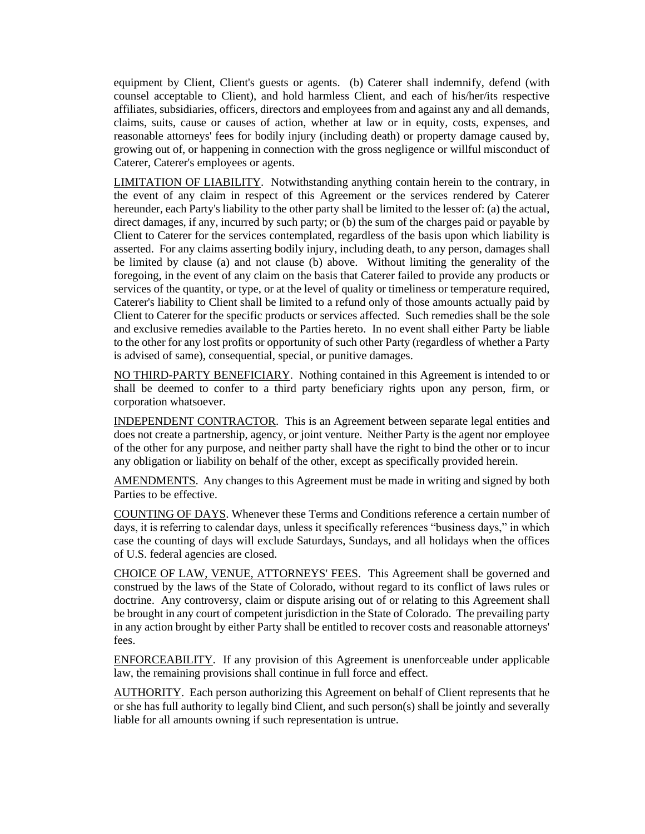equipment by Client, Client's guests or agents. (b) Caterer shall indemnify, defend (with counsel acceptable to Client), and hold harmless Client, and each of his/her/its respective affiliates, subsidiaries, officers, directors and employees from and against any and all demands, claims, suits, cause or causes of action, whether at law or in equity, costs, expenses, and reasonable attorneys' fees for bodily injury (including death) or property damage caused by, growing out of, or happening in connection with the gross negligence or willful misconduct of Caterer, Caterer's employees or agents.

LIMITATION OF LIABILITY. Notwithstanding anything contain herein to the contrary, in the event of any claim in respect of this Agreement or the services rendered by Caterer hereunder, each Party's liability to the other party shall be limited to the lesser of: (a) the actual, direct damages, if any, incurred by such party; or (b) the sum of the charges paid or payable by Client to Caterer for the services contemplated, regardless of the basis upon which liability is asserted. For any claims asserting bodily injury, including death, to any person, damages shall be limited by clause (a) and not clause (b) above. Without limiting the generality of the foregoing, in the event of any claim on the basis that Caterer failed to provide any products or services of the quantity, or type, or at the level of quality or timeliness or temperature required, Caterer's liability to Client shall be limited to a refund only of those amounts actually paid by Client to Caterer for the specific products or services affected. Such remedies shall be the sole and exclusive remedies available to the Parties hereto. In no event shall either Party be liable to the other for any lost profits or opportunity of such other Party (regardless of whether a Party is advised of same), consequential, special, or punitive damages.

NO THIRD-PARTY BENEFICIARY. Nothing contained in this Agreement is intended to or shall be deemed to confer to a third party beneficiary rights upon any person, firm, or corporation whatsoever.

INDEPENDENT CONTRACTOR. This is an Agreement between separate legal entities and does not create a partnership, agency, or joint venture. Neither Party is the agent nor employee of the other for any purpose, and neither party shall have the right to bind the other or to incur any obligation or liability on behalf of the other, except as specifically provided herein.

AMENDMENTS. Any changes to this Agreement must be made in writing and signed by both Parties to be effective.

COUNTING OF DAYS. Whenever these Terms and Conditions reference a certain number of days, it is referring to calendar days, unless it specifically references "business days," in which case the counting of days will exclude Saturdays, Sundays, and all holidays when the offices of U.S. federal agencies are closed.

CHOICE OF LAW, VENUE, ATTORNEYS' FEES. This Agreement shall be governed and construed by the laws of the State of Colorado, without regard to its conflict of laws rules or doctrine. Any controversy, claim or dispute arising out of or relating to this Agreement shall be brought in any court of competent jurisdiction in the State of Colorado. The prevailing party in any action brought by either Party shall be entitled to recover costs and reasonable attorneys' fees.

ENFORCEABILITY. If any provision of this Agreement is unenforceable under applicable law, the remaining provisions shall continue in full force and effect.

AUTHORITY. Each person authorizing this Agreement on behalf of Client represents that he or she has full authority to legally bind Client, and such person(s) shall be jointly and severally liable for all amounts owning if such representation is untrue.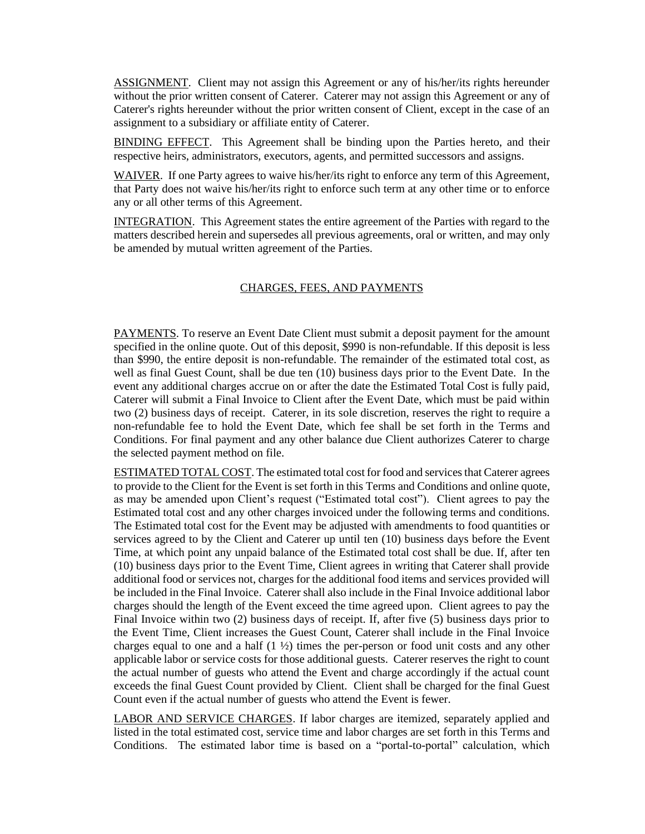ASSIGNMENT. Client may not assign this Agreement or any of his/her/its rights hereunder without the prior written consent of Caterer. Caterer may not assign this Agreement or any of Caterer's rights hereunder without the prior written consent of Client, except in the case of an assignment to a subsidiary or affiliate entity of Caterer.

BINDING EFFECT. This Agreement shall be binding upon the Parties hereto, and their respective heirs, administrators, executors, agents, and permitted successors and assigns.

WAIVER. If one Party agrees to waive his/her/its right to enforce any term of this Agreement, that Party does not waive his/her/its right to enforce such term at any other time or to enforce any or all other terms of this Agreement.

INTEGRATION. This Agreement states the entire agreement of the Parties with regard to the matters described herein and supersedes all previous agreements, oral or written, and may only be amended by mutual written agreement of the Parties.

## CHARGES, FEES, AND PAYMENTS

PAYMENTS. To reserve an Event Date Client must submit a deposit payment for the amount specified in the online quote. Out of this deposit, \$990 is non-refundable. If this deposit is less than \$990, the entire deposit is non-refundable. The remainder of the estimated total cost, as well as final Guest Count, shall be due ten (10) business days prior to the Event Date. In the event any additional charges accrue on or after the date the Estimated Total Cost is fully paid, Caterer will submit a Final Invoice to Client after the Event Date, which must be paid within two (2) business days of receipt. Caterer, in its sole discretion, reserves the right to require a non-refundable fee to hold the Event Date, which fee shall be set forth in the Terms and Conditions. For final payment and any other balance due Client authorizes Caterer to charge the selected payment method on file.

ESTIMATED TOTAL COST. The estimated total cost for food and services that Caterer agrees to provide to the Client for the Event is set forth in this Terms and Conditions and online quote, as may be amended upon Client's request ("Estimated total cost"). Client agrees to pay the Estimated total cost and any other charges invoiced under the following terms and conditions. The Estimated total cost for the Event may be adjusted with amendments to food quantities or services agreed to by the Client and Caterer up until ten (10) business days before the Event Time, at which point any unpaid balance of the Estimated total cost shall be due. If, after ten (10) business days prior to the Event Time, Client agrees in writing that Caterer shall provide additional food or services not, charges for the additional food items and services provided will be included in the Final Invoice. Caterer shall also include in the Final Invoice additional labor charges should the length of the Event exceed the time agreed upon. Client agrees to pay the Final Invoice within two (2) business days of receipt. If, after five (5) business days prior to the Event Time, Client increases the Guest Count, Caterer shall include in the Final Invoice charges equal to one and a half  $(1 \frac{1}{2})$  times the per-person or food unit costs and any other applicable labor or service costs for those additional guests. Caterer reserves the right to count the actual number of guests who attend the Event and charge accordingly if the actual count exceeds the final Guest Count provided by Client. Client shall be charged for the final Guest Count even if the actual number of guests who attend the Event is fewer.

LABOR AND SERVICE CHARGES. If labor charges are itemized, separately applied and listed in the total estimated cost, service time and labor charges are set forth in this Terms and Conditions. The estimated labor time is based on a "portal-to-portal" calculation, which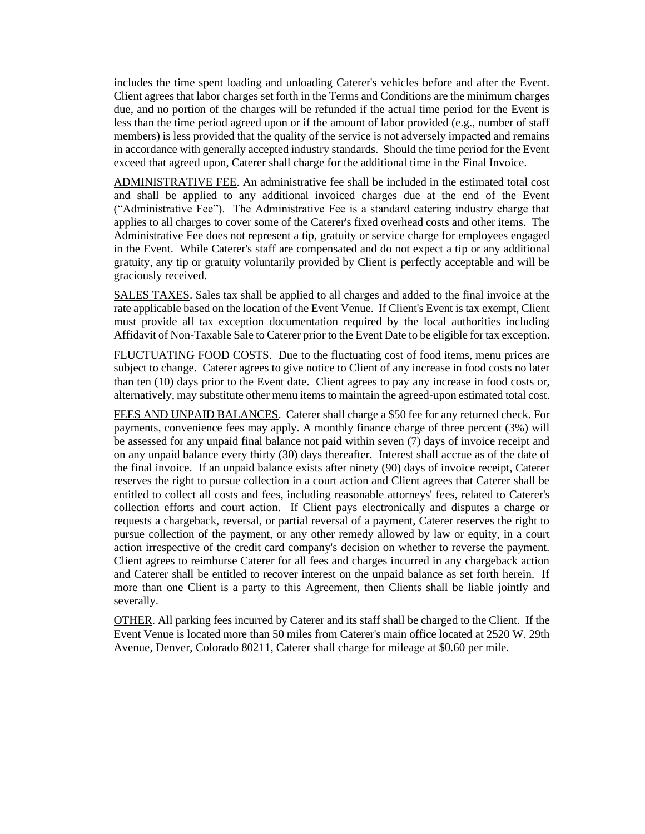includes the time spent loading and unloading Caterer's vehicles before and after the Event. Client agrees that labor charges set forth in the Terms and Conditions are the minimum charges due, and no portion of the charges will be refunded if the actual time period for the Event is less than the time period agreed upon or if the amount of labor provided (e.g., number of staff members) is less provided that the quality of the service is not adversely impacted and remains in accordance with generally accepted industry standards. Should the time period for the Event exceed that agreed upon, Caterer shall charge for the additional time in the Final Invoice.

ADMINISTRATIVE FEE. An administrative fee shall be included in the estimated total cost and shall be applied to any additional invoiced charges due at the end of the Event ("Administrative Fee"). The Administrative Fee is a standard catering industry charge that applies to all charges to cover some of the Caterer's fixed overhead costs and other items. The Administrative Fee does not represent a tip, gratuity or service charge for employees engaged in the Event. While Caterer's staff are compensated and do not expect a tip or any additional gratuity, any tip or gratuity voluntarily provided by Client is perfectly acceptable and will be graciously received.

SALES TAXES. Sales tax shall be applied to all charges and added to the final invoice at the rate applicable based on the location of the Event Venue. If Client's Event is tax exempt, Client must provide all tax exception documentation required by the local authorities including Affidavit of Non-Taxable Sale to Caterer prior to the Event Date to be eligible for tax exception.

FLUCTUATING FOOD COSTS. Due to the fluctuating cost of food items, menu prices are subject to change. Caterer agrees to give notice to Client of any increase in food costs no later than ten (10) days prior to the Event date. Client agrees to pay any increase in food costs or, alternatively, may substitute other menu items to maintain the agreed-upon estimated total cost.

FEES AND UNPAID BALANCES. Caterer shall charge a \$50 fee for any returned check. For payments, convenience fees may apply. A monthly finance charge of three percent (3%) will be assessed for any unpaid final balance not paid within seven (7) days of invoice receipt and on any unpaid balance every thirty (30) days thereafter. Interest shall accrue as of the date of the final invoice. If an unpaid balance exists after ninety (90) days of invoice receipt, Caterer reserves the right to pursue collection in a court action and Client agrees that Caterer shall be entitled to collect all costs and fees, including reasonable attorneys' fees, related to Caterer's collection efforts and court action. If Client pays electronically and disputes a charge or requests a chargeback, reversal, or partial reversal of a payment, Caterer reserves the right to pursue collection of the payment, or any other remedy allowed by law or equity, in a court action irrespective of the credit card company's decision on whether to reverse the payment. Client agrees to reimburse Caterer for all fees and charges incurred in any chargeback action and Caterer shall be entitled to recover interest on the unpaid balance as set forth herein. If more than one Client is a party to this Agreement, then Clients shall be liable jointly and severally.

OTHER. All parking fees incurred by Caterer and its staff shall be charged to the Client. If the Event Venue is located more than 50 miles from Caterer's main office located at 2520 W. 29th Avenue, Denver, Colorado 80211, Caterer shall charge for mileage at \$0.60 per mile.